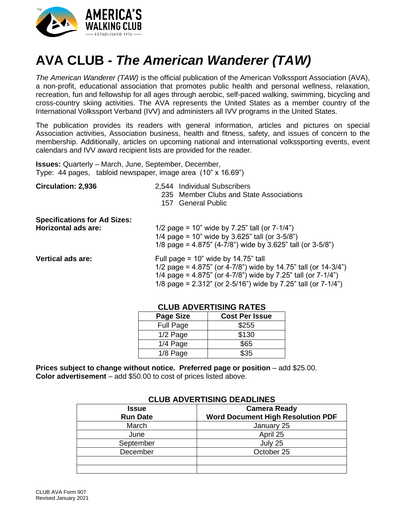

# **AVA CLUB -** *The American Wanderer (TAW)*

*The American Wanderer (TAW)* is the official publication of the American Volkssport Association (AVA), a non-profit, educational association that promotes public health and personal wellness, relaxation, recreation, fun and fellowship for all ages through aerobic, self-paced walking, swimming, bicycling and cross-country skiing activities. The AVA represents the United States as a member country of the International Volkssport Verband (IVV) and administers all IVV programs in the United States.

The publication provides its readers with general information, articles and pictures on special Association activities, Association business, health and fitness, safety, and issues of concern to the membership. Additionally, articles on upcoming national and international volkssporting events, event calendars and IVV award recipient lists are provided for the reader.

**Issues:** Quarterly – March, June, September, December, Type: 44 pages, tabloid newspaper, image area (10" x 16.69")

| <b>Circulation: 2,936</b>                                         | <b>Individual Subscribers</b><br>2.544<br>235 Member Clubs and State Associations<br><b>General Public</b><br>157                                                                                                                                                 |  |  |  |
|-------------------------------------------------------------------|-------------------------------------------------------------------------------------------------------------------------------------------------------------------------------------------------------------------------------------------------------------------|--|--|--|
| <b>Specifications for Ad Sizes:</b><br><b>Horizontal ads are:</b> | 1/2 page = 10" wide by 7.25" tall (or $7-1/4$ ")<br>1/4 page = 10" wide by 3.625" tall (or $3-5/8$ ")<br>1/8 page = $4.875$ " (4-7/8") wide by 3.625" tall (or 3-5/8")                                                                                            |  |  |  |
| <b>Vertical ads are:</b>                                          | Full page = $10$ " wide by $14.75$ " tall<br>1/2 page = $4.875$ " (or $4-7/8$ ") wide by 14.75" tall (or $14-3/4$ ")<br>1/4 page = 4.875" (or 4-7/8") wide by 7.25" tall (or $7-1/4$ ")<br>1/8 page = $2.312$ " (or $2-5/16$ ") wide by 7.25" tall (or $7-1/4$ ") |  |  |  |

| <b>Page Size</b> | <b>Cost Per Issue</b> |  |  |
|------------------|-----------------------|--|--|
| Full Page        | \$255                 |  |  |
| 1/2 Page         | \$130                 |  |  |
| 1/4 Page         | \$65                  |  |  |
| 1/8 Page         | \$35                  |  |  |

### **CLUB ADVERTISING RATES**

**Prices subject to change without notice. Preferred page or position** – add \$25.00. **Color advertisement** – add \$50.00 to cost of prices listed above.

| <b>ULUD ADVENTISING DEADLINES</b> |                                          |  |  |  |
|-----------------------------------|------------------------------------------|--|--|--|
| <b>Issue</b>                      | <b>Camera Ready</b>                      |  |  |  |
| <b>Run Date</b>                   | <b>Word Document High Resolution PDF</b> |  |  |  |
| March                             | January 25                               |  |  |  |
| June                              | April 25                                 |  |  |  |
| September                         | July 25                                  |  |  |  |
| December                          | October 25                               |  |  |  |
|                                   |                                          |  |  |  |
|                                   |                                          |  |  |  |

### **CLUB ADVERTISING DEADLINES**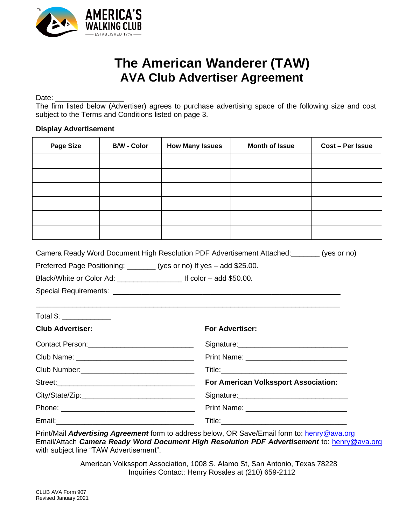

## **The American Wanderer (TAW) AVA Club Advertiser Agreement**

Date:

The firm listed below (Advertiser) agrees to purchase advertising space of the following size and cost subject to the Terms and Conditions listed on page 3.

#### **Display Advertisement**

| <b>Page Size</b>         | <b>B/W - Color</b> | <b>How Many Issues</b>                                                 | <b>Month of Issue</b>                                                              | Cost - Per Issue |  |
|--------------------------|--------------------|------------------------------------------------------------------------|------------------------------------------------------------------------------------|------------------|--|
|                          |                    |                                                                        |                                                                                    |                  |  |
|                          |                    |                                                                        |                                                                                    |                  |  |
|                          |                    |                                                                        |                                                                                    |                  |  |
|                          |                    |                                                                        |                                                                                    |                  |  |
|                          |                    |                                                                        |                                                                                    |                  |  |
|                          |                    |                                                                        |                                                                                    |                  |  |
|                          |                    | Preferred Page Positioning: ________ (yes or no) If yes - add \$25.00. | Camera Ready Word Document High Resolution PDF Advertisement Attached: (yes or no) |                  |  |
| Total \$: ______________ |                    |                                                                        |                                                                                    |                  |  |
| <b>Club Advertiser:</b>  |                    |                                                                        | <b>For Advertiser:</b>                                                             |                  |  |
|                          |                    |                                                                        |                                                                                    |                  |  |
|                          |                    |                                                                        |                                                                                    |                  |  |
|                          |                    |                                                                        |                                                                                    |                  |  |
|                          |                    |                                                                        | For American Volkssport Association:                                               |                  |  |
|                          |                    |                                                                        |                                                                                    |                  |  |
|                          |                    |                                                                        |                                                                                    |                  |  |
| Email:                   |                    |                                                                        |                                                                                    |                  |  |

Print/Mail *Advertising Agreement* form to address below, OR Save/Email form to: [henry@ava.org](mailto:henry@ava.org) Email/Attach *Camera Ready Word Document High Resolution PDF Advertisement* to: [henry@ava.org](mailto:henry@ava.org) with subject line "TAW Advertisement".

> American Volkssport Association, 1008 S. Alamo St, San Antonio, Texas 78228 Inquiries Contact: Henry Rosales at (210) 659-2112